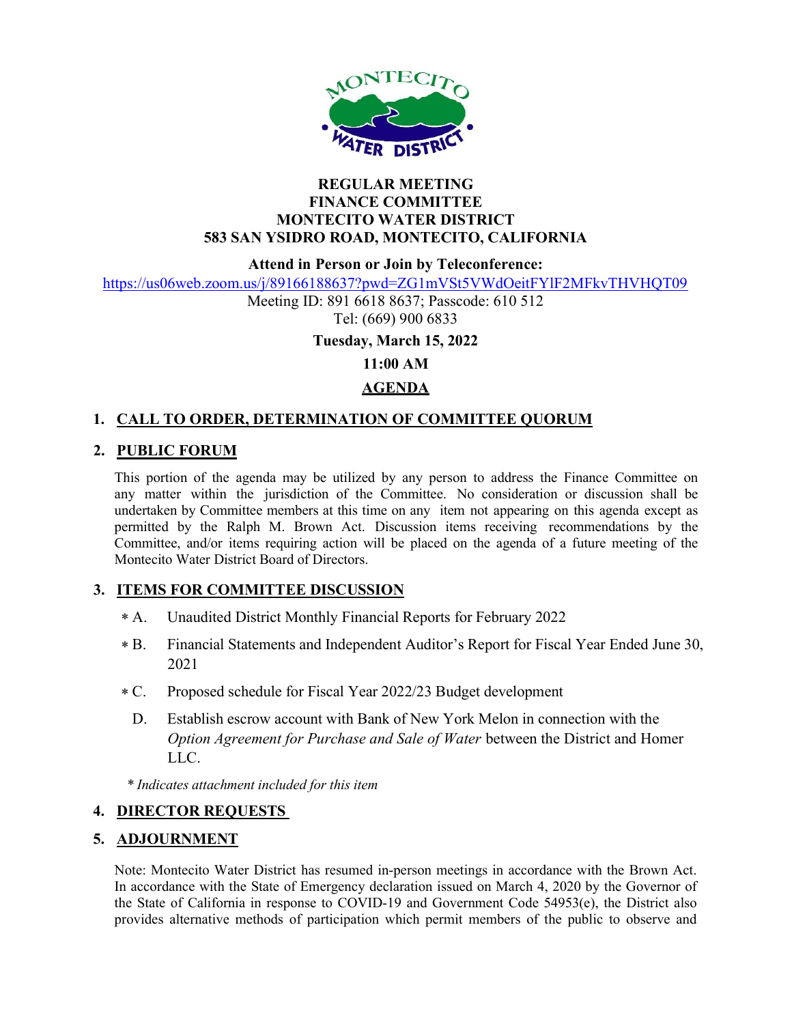

#### REGULAR MEETING FINANCE COMMITTEE MONTECITO WATER DISTRICT 583 SAN YSIDRO ROAD, MONTECITO, CALIFORNIA

Attend in Person or Join by Teleconference:

https://us06web.zoom.us/j/89166188637?pwd=ZG1mVSt5VWdOeitFYlF2MFkvTHVHQT09

Meeting ID: 891 6618 8637; Passcode: 610 512 Tel: (669) 900 6833

Tuesday, March 15, 2022

11:00 AM

# AGENDA

## 1. CALL TO ORDER, DETERMINATION OF COMMITTEE QUORUM

## 2. PUBLIC FORUM

This portion of the agenda may be utilized by any person to address the Finance Committee on any matter within the jurisdiction of the Committee. No consideration or discussion shall be undertaken by Committee members at this time on any item not appearing on this agenda except as permitted by the Ralph M. Brown Act. Discussion items receiving recommendations by the Committee, and/or items requiring action will be placed on the agenda of a future meeting of the Montecito Water District Board of Directors.

## 3. ITEMS FOR COMMITTEE DISCUSSION

- Unaudited District Monthly Financial Reports for February 2022  $* A.$
- Financial Statements and Independent Auditor's Report for Fiscal Year Ended June 30, 2021  $* B.$
- Proposed schedule for Fiscal Year 2022/23 Budget development  $*C.$ 
	- D. Establish escrow account with Bank of New York Melon in connection with the Option Agreement for Purchase and Sale of Water between the District and Homer LLC.

\* Indicates attachment included for this item

## 4. DIRECTOR REQUESTS

## 5. ADJOURNMENT

Note: Montecito Water District has resumed in-person meetings in accordance with the Brown Act. In accordance with the State of Emergency declaration issued on March 4, 2020 by the Governor of the State of California in response to COVID-19 and Government Code 54953(e), the District also provides alternative methods of participation which permit members of the public to observe and